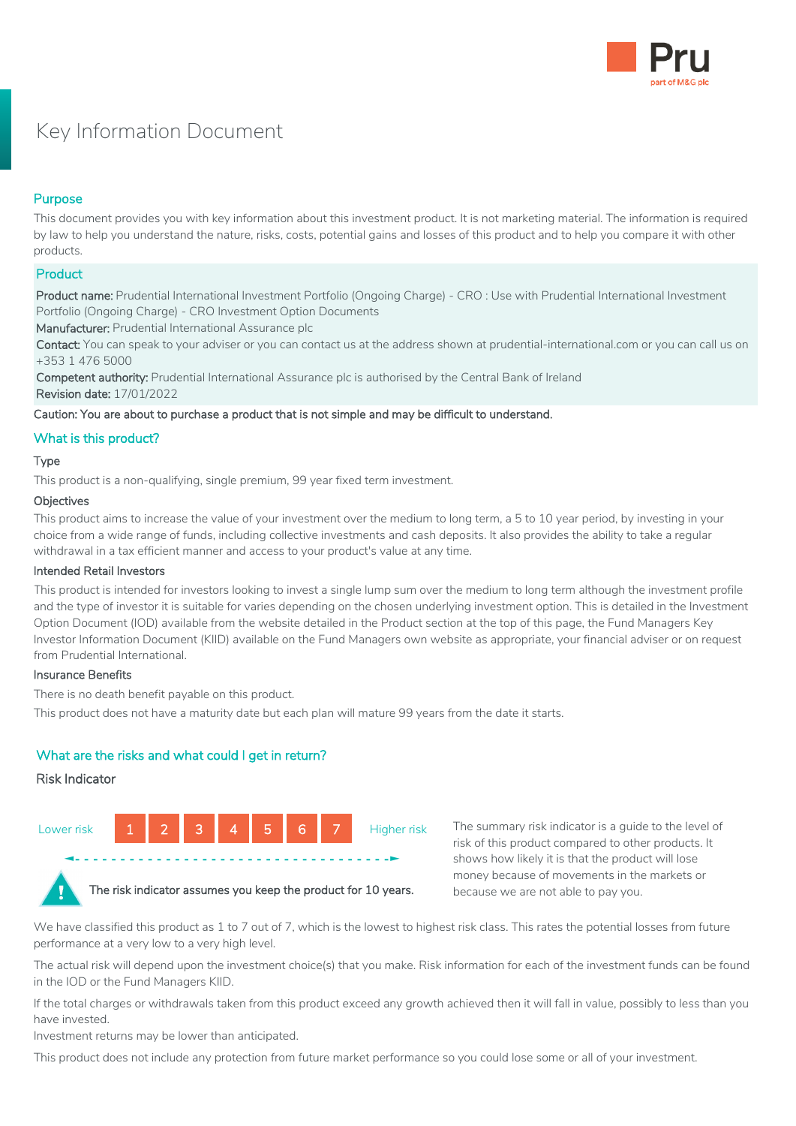

# Key Information Document

# Purpose

This document provides you with key information about this investment product. It is not marketing material. The information is required by law to help you understand the nature, risks, costs, potential gains and losses of this product and to help you compare it with other products.

## **Product**

Product name: Prudential International Investment Portfolio (Ongoing Charge) - CRO : Use with Prudential International Investment Portfolio (Ongoing Charge) - CRO Investment Option Documents

Manufacturer: Prudential International Assurance plc

Contact: You can speak to your adviser or you can contact us at the address shown at prudential-international.com or you can call us on +353 1 476 5000

Competent authority: Prudential International Assurance plc is authorised by the Central Bank of Ireland Revision date: 17/01/2022

#### Caution: You are about to purchase a product that is not simple and may be difficult to understand.

## What is this product?

#### Type

This product is a non-qualifying, single premium, 99 year fixed term investment.

#### **Objectives**

This product aims to increase the value of your investment over the medium to long term, a 5 to 10 year period, by investing in your choice from a wide range of funds, including collective investments and cash deposits. It also provides the ability to take a regular withdrawal in a tax efficient manner and access to your product's value at any time.

#### Intended Retail Investors

This product is intended for investors looking to invest a single lump sum over the medium to long term although the investment profile and the type of investor it is suitable for varies depending on the chosen underlying investment option. This is detailed in the Investment Option Document (IOD) available from the website detailed in the Product section at the top of this page, the Fund Managers Key Investor Information Document (KIID) available on the Fund Managers own website as appropriate, your financial adviser or on request from Prudential International.

## Insurance Benefits

There is no death benefit payable on this product.

This product does not have a maturity date but each plan will mature 99 years from the date it starts.

# What are the risks and what could I get in return?

## Risk Indicator



The summary risk indicator is a guide to the level of risk of this product compared to other products. It shows how likely it is that the product will lose money because of movements in the markets or because we are not able to pay you.

We have classified this product as 1 to 7 out of 7, which is the lowest to highest risk class. This rates the potential losses from future performance at a very low to a very high level.

The actual risk will depend upon the investment choice(s) that you make. Risk information for each of the investment funds can be found in the IOD or the Fund Managers KIID.

If the total charges or withdrawals taken from this product exceed any growth achieved then it will fall in value, possibly to less than you have invested.

Investment returns may be lower than anticipated.

This product does not include any protection from future market performance so you could lose some or all of your investment.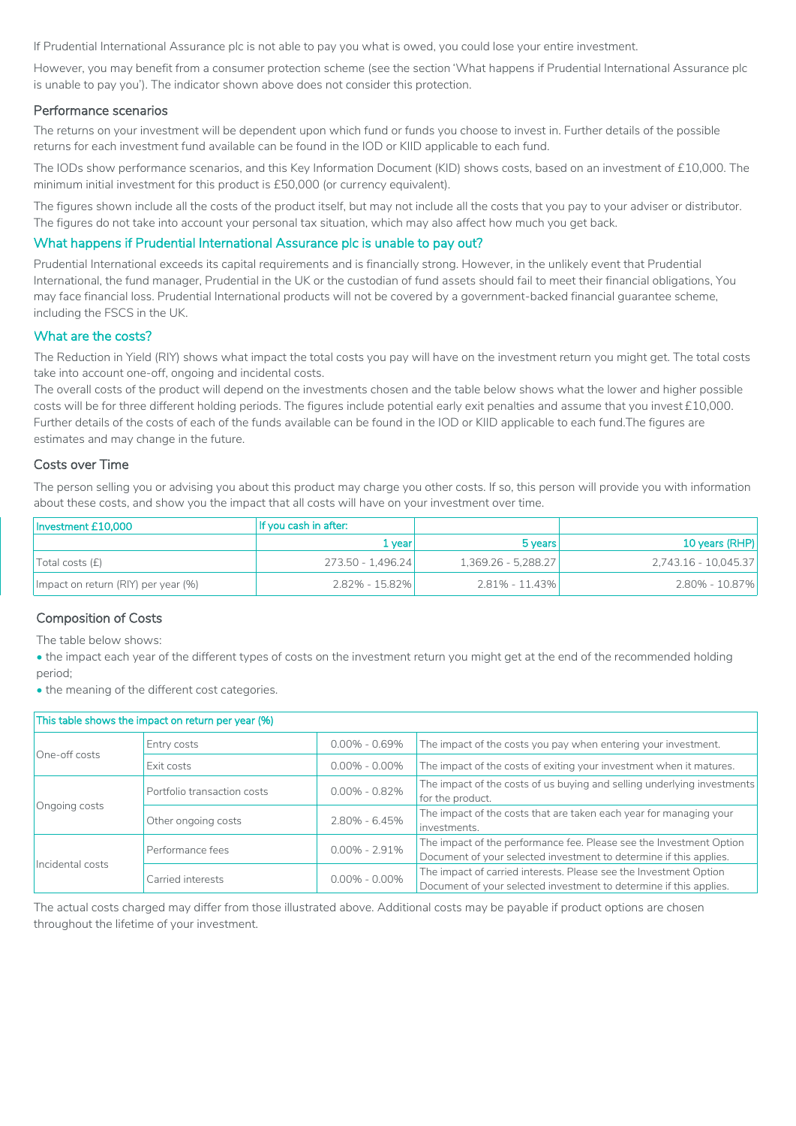If Prudential International Assurance plc is not able to pay you what is owed, you could lose your entire investment.

However, you may benefit from a consumer protection scheme (see the section 'What happens if Prudential International Assurance plc is unable to pay you'). The indicator shown above does not consider this protection.

#### Performance scenarios

The returns on your investment will be dependent upon which fund or funds you choose to invest in. Further details of the possible returns for each investment fund available can be found in the IOD or KIID applicable to each fund.

The IODs show performance scenarios, and this Key Information Document (KID) shows costs, based on an investment of £10,000. The minimum initial investment for this product is £50,000 (or currency equivalent).

The figures shown include all the costs of the product itself, but may not include all the costs that you pay to your adviser or distributor. The figures do not take into account your personal tax situation, which may also affect how much you get back.

## What happens if Prudential International Assurance plc is unable to pay out?

Prudential International exceeds its capital requirements and is financially strong. However, in the unlikely event that Prudential International, the fund manager, Prudential in the UK or the custodian of fund assets should fail to meet their financial obligations, You may face financial loss. Prudential International products will not be covered by a government-backed financial guarantee scheme, including the FSCS in the UK.

#### What are the costs?

The Reduction in Yield (RIY) shows what impact the total costs you pay will have on the investment return you might get. The total costs take into account one-off, ongoing and incidental costs.

The overall costs of the product will depend on the investments chosen and the table below shows what the lower and higher possible costs will be for three different holding periods. The figures include potential early exit penalties and assume that you invest £10,000. Further details of the costs of each of the funds available can be found in the IOD or KIID applicable to each fund.The figures are estimates and may change in the future.

#### Costs over Time

The person selling you or advising you about this product may charge you other costs. If so, this person will provide you with information about these costs, and show you the impact that all costs will have on your investment over time.

| Investment £10.000                  | If you cash in after: |                     |                      |
|-------------------------------------|-----------------------|---------------------|----------------------|
|                                     | 1 vearl               | 5 years             | 10 years (RHP)       |
| Total costs (f)                     | 273.50 - 1.496.24     | 1,369.26 - 5,288.27 | 2.743.16 - 10.045.37 |
| Impact on return (RIY) per year (%) | 2.82% - 15.82%        | $2.81\% - 11.43\%$  | 2.80% - 10.87%       |

## Composition of Costs

The table below shows:

• the impact each year of the different types of costs on the investment return you might get at the end of the recommended holding period;

• the meaning of the different cost categories.

| This table shows the impact on return per year (%) |                                       |                   |                                                                                                                                           |  |  |
|----------------------------------------------------|---------------------------------------|-------------------|-------------------------------------------------------------------------------------------------------------------------------------------|--|--|
| One-off costs                                      | Entry costs                           | $0.00\% - 0.69\%$ | The impact of the costs you pay when entering your investment.                                                                            |  |  |
|                                                    | Exit costs                            | $0.00\% - 0.00\%$ | The impact of the costs of exiting your investment when it matures.                                                                       |  |  |
| Ongoing costs                                      | Portfolio transaction costs           | $0.00\% - 0.82\%$ | The impact of the costs of us buying and selling underlying investments<br>for the product.                                               |  |  |
|                                                    | Other ongoing costs                   | 2.80% - 6.45%     | The impact of the costs that are taken each year for managing your<br>investments.                                                        |  |  |
| Incidental costs                                   | $0.00\% - 2.91\%$<br>Performance fees |                   | The impact of the performance fee. Please see the Investment Option<br>Document of your selected investment to determine if this applies. |  |  |
|                                                    | Carried interests                     | $0.00\% - 0.00\%$ | The impact of carried interests. Please see the Investment Option<br>Document of your selected investment to determine if this applies.   |  |  |

The actual costs charged may differ from those illustrated above. Additional costs may be payable if product options are chosen throughout the lifetime of your investment.